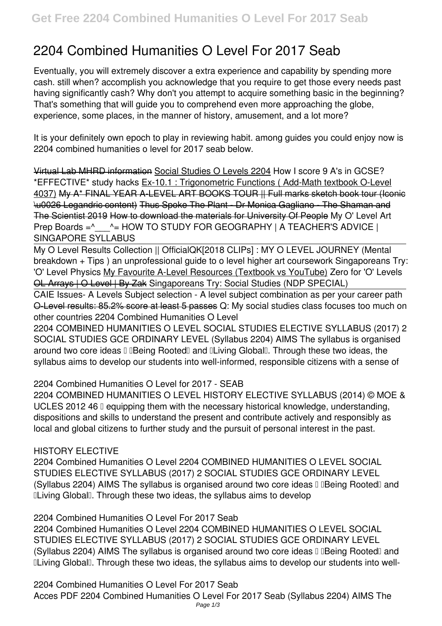# **2204 Combined Humanities O Level For 2017 Seab**

Eventually, you will extremely discover a extra experience and capability by spending more cash. still when? accomplish you acknowledge that you require to get those every needs past having significantly cash? Why don't you attempt to acquire something basic in the beginning? That's something that will guide you to comprehend even more approaching the globe, experience, some places, in the manner of history, amusement, and a lot more?

It is your definitely own epoch to play in reviewing habit. among guides you could enjoy now is **2204 combined humanities o level for 2017 seab** below.

Virtual Lab MHRD information Social Studies O Levels 2204 *How I score 9 A's in GCSE? \*EFFECTIVE\* study hacks* Ex-10.1 : Trigonometric Functions ( Add-Math textbook O-Level 4037) My A\* FINAL YEAR A-LEVEL ART BOOKS TOUR || Full marks sketch book tour (Iconic \u0026 Legandric content) Thus Spoke The Plant - Dr Monica Gagliano - The Shaman and The Scientist 2019 How to download the materials for University Of People *My O' Level Art Prep Boards =^\_\_\_^= HOW TO STUDY FOR GEOGRAPHY | A TEACHER'S ADVICE | SINGAPORE SYLLABUS*

My O Level Results Collection || OfficialQK**[2018 CLIPs] : MY O LEVEL JOURNEY (Mental breakdown + Tips )** *an unprofessional guide to o level higher art coursework Singaporeans Try: 'O' Level Physics* My Favourite A-Level Resources (Textbook vs YouTube) **Zero for 'O' Levels** OL Arrays | O Level | By Zak **Singaporeans Try: Social Studies (NDP SPECIAL)**

CAIE Issues- A Levels Subject selection - A level subject combination as per your career path O-Level results: 85.2% score at least 5 passes **Q: My social studies class focuses too much on other countries** 2204 Combined Humanities O Level

2204 COMBINED HUMANITIES O LEVEL SOCIAL STUDIES ELECTIVE SYLLABUS (2017) 2 SOCIAL STUDIES GCE ORDINARY LEVEL (Syllabus 2204) AIMS The syllabus is organised around two core ideas I IBeing Rooted and ILiving Global I. Through these two ideas, the syllabus aims to develop our students into well-informed, responsible citizens with a sense of

2204 Combined Humanities O Level for 2017 - SEAB

2204 COMBINED HUMANITIES O LEVEL HISTORY ELECTIVE SYLLABUS (2014) © MOE & UCLES 2012 46  $\Box$  equipping them with the necessary historical knowledge, understanding, dispositions and skills to understand the present and contribute actively and responsibly as local and global citizens to further study and the pursuit of personal interest in the past.

# HISTORY ELECTIVE

2204 Combined Humanities O Level 2204 COMBINED HUMANITIES O LEVEL SOCIAL STUDIES ELECTIVE SYLLABUS (2017) 2 SOCIAL STUDIES GCE ORDINARY LEVEL (Syllabus 2204) AIMS The syllabus is organised around two core ideas I IBeing RootedI and ILiving Global I. Through these two ideas, the syllabus aims to develop

2204 Combined Humanities O Level For 2017 Seab

2204 Combined Humanities O Level 2204 COMBINED HUMANITIES O LEVEL SOCIAL STUDIES ELECTIVE SYLLABUS (2017) 2 SOCIAL STUDIES GCE ORDINARY LEVEL (Syllabus 2204) AIMS The syllabus is organised around two core ideas  $\mathbb I$  Deing Rooted and **ILiving Global I. Through these two ideas, the syllabus aims to develop our students into well-**

2204 Combined Humanities O Level For 2017 Seab Acces PDF 2204 Combined Humanities O Level For 2017 Seab (Syllabus 2204) AIMS The Page 1/3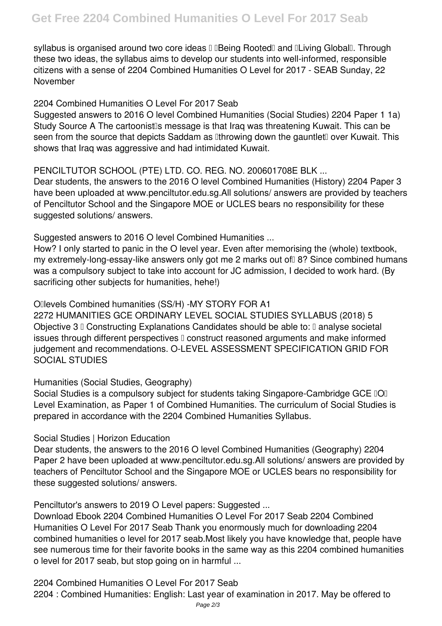syllabus is organised around two core ideas II Being Rooted and Lliving Global I. Through these two ideas, the syllabus aims to develop our students into well-informed, responsible citizens with a sense of 2204 Combined Humanities O Level for 2017 - SEAB Sunday, 22 November

## 2204 Combined Humanities O Level For 2017 Seab

Suggested answers to 2016 O level Combined Humanities (Social Studies) 2204 Paper 1 1a) Study Source A The cartoonist<sup>'</sup>s message is that Iraq was threatening Kuwait. This can be seen from the source that depicts Saddam as Ithrowing down the gauntlet lover Kuwait. This shows that Iraq was aggressive and had intimidated Kuwait.

# PENCILTUTOR SCHOOL (PTE) LTD. CO. REG. NO. 200601708E BLK ...

Dear students, the answers to the 2016 O level Combined Humanities (History) 2204 Paper 3 have been uploaded at www.penciltutor.edu.sg.All solutions/ answers are provided by teachers of Penciltutor School and the Singapore MOE or UCLES bears no responsibility for these suggested solutions/ answers.

Suggested answers to 2016 O level Combined Humanities ...

How? I only started to panic in the O level year. Even after memorising the (whole) textbook, my extremely-long-essay-like answers only got me 2 marks out of 8? Since combined humans was a compulsory subject to take into account for JC admission, I decided to work hard. (By sacrificing other subjects for humanities, hehe!)

## O'levels Combined humanities (SS/H) -MY STORY FOR A1

2272 HUMANITIES GCE ORDINARY LEVEL SOCIAL STUDIES SYLLABUS (2018) 5 Objective 3  $\mathbb I$  Constructing Explanations Candidates should be able to:  $\mathbb I$  analyse societal issues through different perspectives  $\Box$  construct reasoned arguments and make informed judgement and recommendations. O-LEVEL ASSESSMENT SPECIFICATION GRID FOR SOCIAL STUDIES

Humanities (Social Studies, Geography)

Social Studies is a compulsory subject for students taking Singapore-Cambridge GCE IOI Level Examination, as Paper 1 of Combined Humanities. The curriculum of Social Studies is prepared in accordance with the 2204 Combined Humanities Syllabus.

Social Studies | Horizon Education

Dear students, the answers to the 2016 O level Combined Humanities (Geography) 2204 Paper 2 have been uploaded at www.penciltutor.edu.sg.All solutions/ answers are provided by teachers of Penciltutor School and the Singapore MOE or UCLES bears no responsibility for these suggested solutions/ answers.

Penciltutor's answers to 2019 O Level papers: Suggested ...

Download Ebook 2204 Combined Humanities O Level For 2017 Seab 2204 Combined Humanities O Level For 2017 Seab Thank you enormously much for downloading 2204 combined humanities o level for 2017 seab.Most likely you have knowledge that, people have see numerous time for their favorite books in the same way as this 2204 combined humanities o level for 2017 seab, but stop going on in harmful ...

2204 Combined Humanities O Level For 2017 Seab

2204 : Combined Humanities: English: Last year of examination in 2017. May be offered to